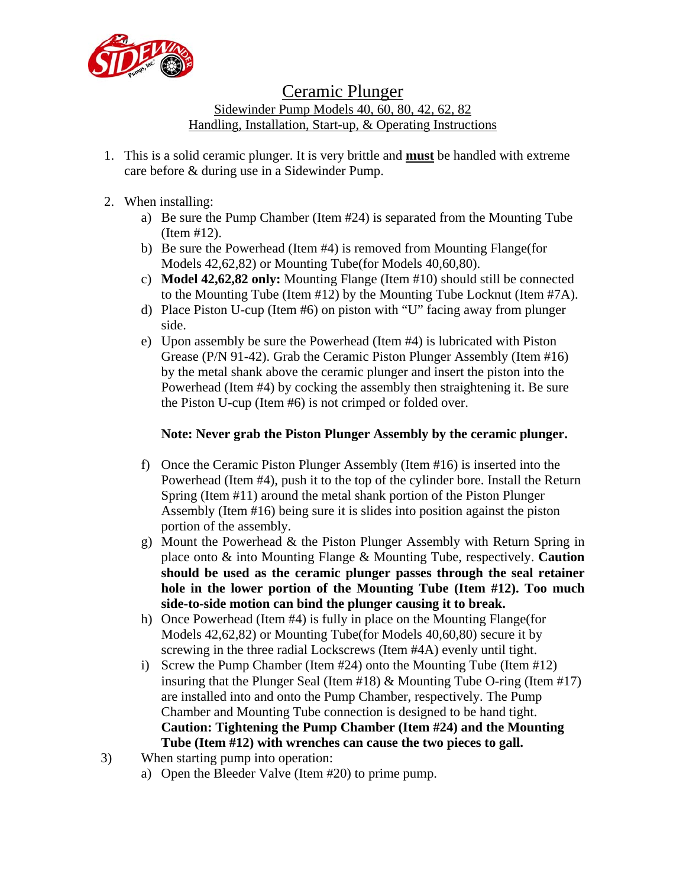

## Ceramic Plunger

Sidewinder Pump Models 40, 60, 80, 42, 62, 82 Handling, Installation, Start-up, & Operating Instructions

- 1. This is a solid ceramic plunger. It is very brittle and **must** be handled with extreme care before & during use in a Sidewinder Pump.
- 2. When installing:
	- a) Be sure the Pump Chamber (Item #24) is separated from the Mounting Tube (Item #12).
	- b) Be sure the Powerhead (Item #4) is removed from Mounting Flange(for Models 42,62,82) or Mounting Tube(for Models 40,60,80).
	- c) **Model 42,62,82 only:** Mounting Flange (Item #10) should still be connected to the Mounting Tube (Item #12) by the Mounting Tube Locknut (Item #7A).
	- d) Place Piston U-cup (Item #6) on piston with "U" facing away from plunger side.
	- e) Upon assembly be sure the Powerhead (Item #4) is lubricated with Piston Grease (P/N 91-42). Grab the Ceramic Piston Plunger Assembly (Item #16) by the metal shank above the ceramic plunger and insert the piston into the Powerhead (Item #4) by cocking the assembly then straightening it. Be sure the Piston U-cup (Item #6) is not crimped or folded over.

## **Note: Never grab the Piston Plunger Assembly by the ceramic plunger.**

- f) Once the Ceramic Piston Plunger Assembly (Item #16) is inserted into the Powerhead (Item #4), push it to the top of the cylinder bore. Install the Return Spring (Item #11) around the metal shank portion of the Piston Plunger Assembly (Item #16) being sure it is slides into position against the piston portion of the assembly.
- g) Mount the Powerhead & the Piston Plunger Assembly with Return Spring in place onto & into Mounting Flange & Mounting Tube, respectively. **Caution should be used as the ceramic plunger passes through the seal retainer hole in the lower portion of the Mounting Tube (Item #12). Too much side-to-side motion can bind the plunger causing it to break.**
- h) Once Powerhead (Item #4) is fully in place on the Mounting Flange(for Models 42,62,82) or Mounting Tube(for Models 40,60,80) secure it by screwing in the three radial Lockscrews (Item #4A) evenly until tight.
- i) Screw the Pump Chamber (Item #24) onto the Mounting Tube (Item #12) insuring that the Plunger Seal (Item  $\#18$ ) & Mounting Tube O-ring (Item  $\#17$ ) are installed into and onto the Pump Chamber, respectively. The Pump Chamber and Mounting Tube connection is designed to be hand tight. **Caution: Tightening the Pump Chamber (Item #24) and the Mounting Tube (Item #12) with wrenches can cause the two pieces to gall.**
- 3) When starting pump into operation:
	- a) Open the Bleeder Valve (Item #20) to prime pump.